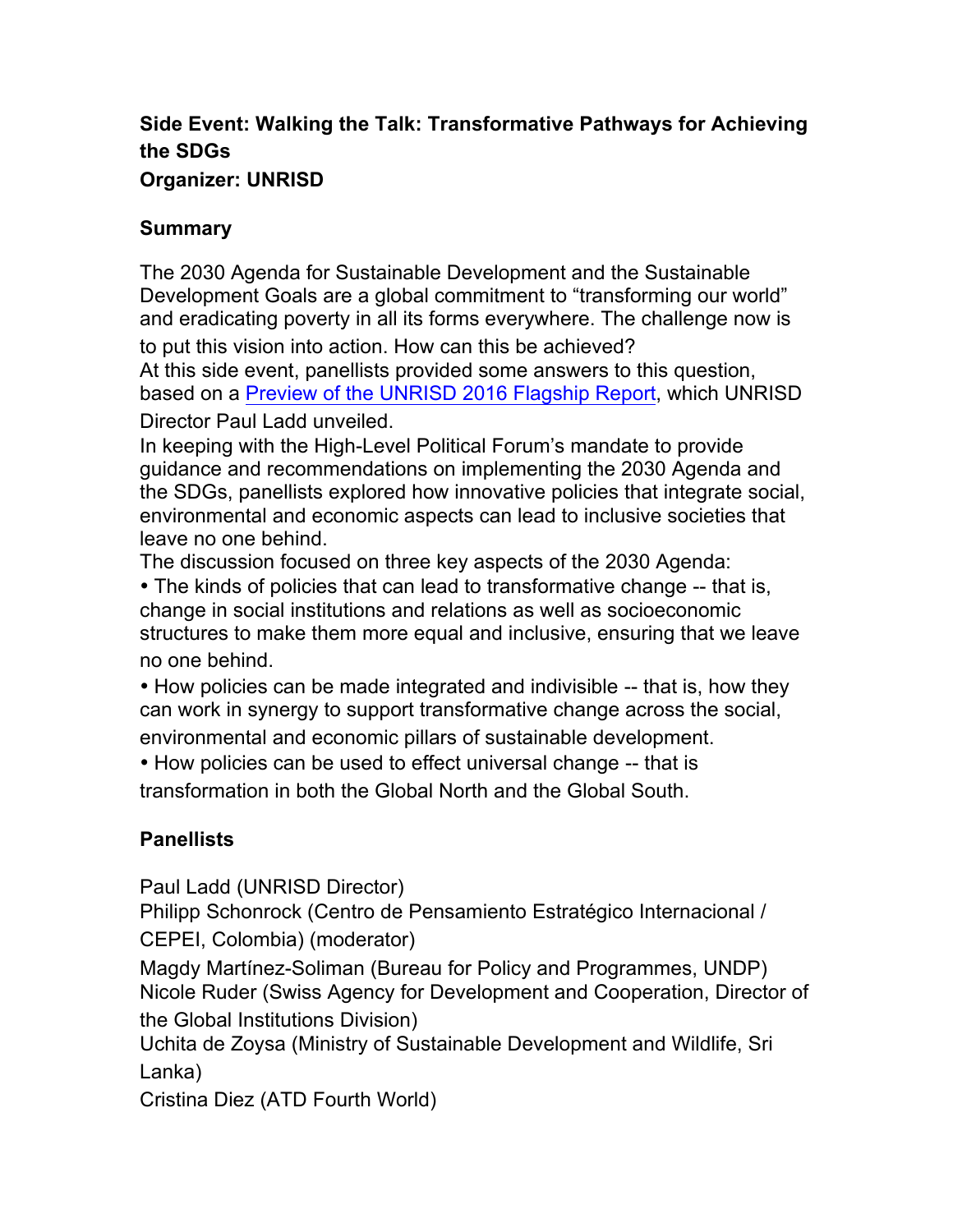## **Side Event: Walking the Talk: Transformative Pathways for Achieving the SDGs Organizer: UNRISD**

## **Summary**

The 2030 Agenda for Sustainable Development and the Sustainable Development Goals are a global commitment to "transforming our world" and eradicating poverty in all its forms everywhere. The challenge now is

to put this vision into action. How can this be achieved?

At this side event, panellists provided some answers to this question, based on a Preview of the UNRISD 2016 Flagship Report, which UNRISD Director Paul Ladd unveiled.

In keeping with the High-Level Political Forum's mandate to provide guidance and recommendations on implementing the 2030 Agenda and the SDGs, panellists explored how innovative policies that integrate social, environmental and economic aspects can lead to inclusive societies that leave no one behind.

The discussion focused on three key aspects of the 2030 Agenda: • The kinds of policies that can lead to transformative change -- that is, change in social institutions and relations as well as socioeconomic structures to make them more equal and inclusive, ensuring that we leave no one behind.

• How policies can be made integrated and indivisible -- that is, how they can work in synergy to support transformative change across the social, environmental and economic pillars of sustainable development.

• How policies can be used to effect universal change -- that is transformation in both the Global North and the Global South.

## **Panellists**

Paul Ladd (UNRISD Director)

Philipp Schonrock (Centro de Pensamiento Estratégico Internacional / CEPEI, Colombia) (moderator)

Magdy Martínez-Soliman (Bureau for Policy and Programmes, UNDP) Nicole Ruder (Swiss Agency for Development and Cooperation, Director of the Global Institutions Division)

Uchita de Zoysa (Ministry of Sustainable Development and Wildlife, Sri Lanka)

Cristina Diez (ATD Fourth World)